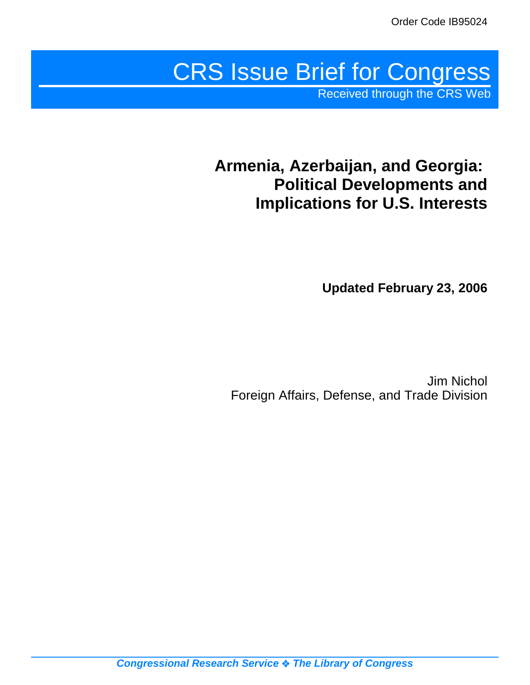# CRS Issue Brief for Congress

Received through the CRS Web

## **Armenia, Azerbaijan, and Georgia: Political Developments and Implications for U.S. Interests**

**Updated February 23, 2006**

Jim Nichol Foreign Affairs, Defense, and Trade Division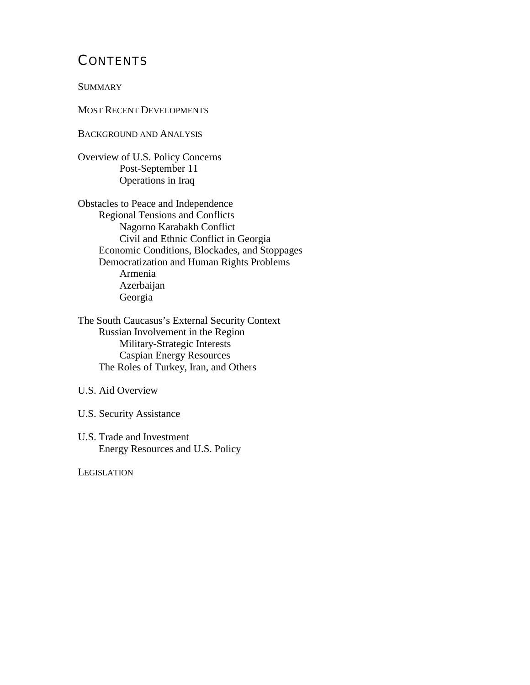## **CONTENTS**

**SUMMARY** 

MOST RECENT DEVELOPMENTS

BACKGROUND AND ANALYSIS

Overview of U.S. Policy Concerns Post-September 11 Operations in Iraq

Obstacles to Peace and Independence Regional Tensions and Conflicts Nagorno Karabakh Conflict Civil and Ethnic Conflict in Georgia Economic Conditions, Blockades, and Stoppages Democratization and Human Rights Problems Armenia Azerbaijan Georgia

The South Caucasus's External Security Context Russian Involvement in the Region Military-Strategic Interests Caspian Energy Resources The Roles of Turkey, Iran, and Others

U.S. Aid Overview

U.S. Security Assistance

U.S. Trade and Investment Energy Resources and U.S. Policy

**LEGISLATION**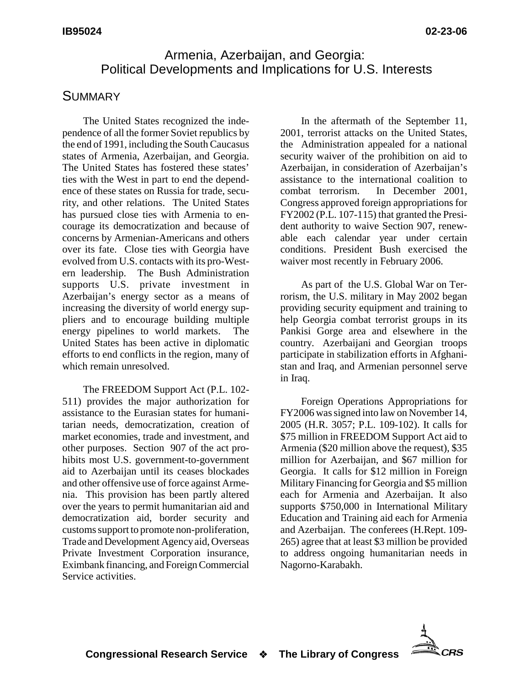## Armenia, Azerbaijan, and Georgia: Political Developments and Implications for U.S. Interests

## **SUMMARY**

The United States recognized the independence of all the former Soviet republics by the end of 1991, including the South Caucasus states of Armenia, Azerbaijan, and Georgia. The United States has fostered these states' ties with the West in part to end the dependence of these states on Russia for trade, security, and other relations. The United States has pursued close ties with Armenia to encourage its democratization and because of concerns by Armenian-Americans and others over its fate. Close ties with Georgia have evolved from U.S. contacts with its pro-Western leadership. The Bush Administration supports U.S. private investment in Azerbaijan's energy sector as a means of increasing the diversity of world energy suppliers and to encourage building multiple energy pipelines to world markets. The United States has been active in diplomatic efforts to end conflicts in the region, many of which remain unresolved.

The FREEDOM Support Act (P.L. 102- 511) provides the major authorization for assistance to the Eurasian states for humanitarian needs, democratization, creation of market economies, trade and investment, and other purposes. Section 907 of the act prohibits most U.S. government-to-government aid to Azerbaijan until its ceases blockades and other offensive use of force against Armenia. This provision has been partly altered over the years to permit humanitarian aid and democratization aid, border security and customs support to promote non-proliferation, Trade and Development Agency aid, Overseas Private Investment Corporation insurance, Eximbank financing, and Foreign Commercial Service activities.

In the aftermath of the September 11, 2001, terrorist attacks on the United States, the Administration appealed for a national security waiver of the prohibition on aid to Azerbaijan, in consideration of Azerbaijan's assistance to the international coalition to combat terrorism. In December 2001, Congress approved foreign appropriations for FY2002 (P.L. 107-115) that granted the President authority to waive Section 907, renewable each calendar year under certain conditions. President Bush exercised the waiver most recently in February 2006.

As part of the U.S. Global War on Terrorism, the U.S. military in May 2002 began providing security equipment and training to help Georgia combat terrorist groups in its Pankisi Gorge area and elsewhere in the country. Azerbaijani and Georgian troops participate in stabilization efforts in Afghanistan and Iraq, and Armenian personnel serve in Iraq.

Foreign Operations Appropriations for FY2006 was signed into law on November 14, 2005 (H.R. 3057; P.L. 109-102). It calls for \$75 million in FREEDOM Support Act aid to Armenia (\$20 million above the request), \$35 million for Azerbaijan, and \$67 million for Georgia. It calls for \$12 million in Foreign Military Financing for Georgia and \$5 million each for Armenia and Azerbaijan. It also supports \$750,000 in International Military Education and Training aid each for Armenia and Azerbaijan. The conferees (H.Rept. 109- 265) agree that at least \$3 million be provided to address ongoing humanitarian needs in Nagorno-Karabakh.

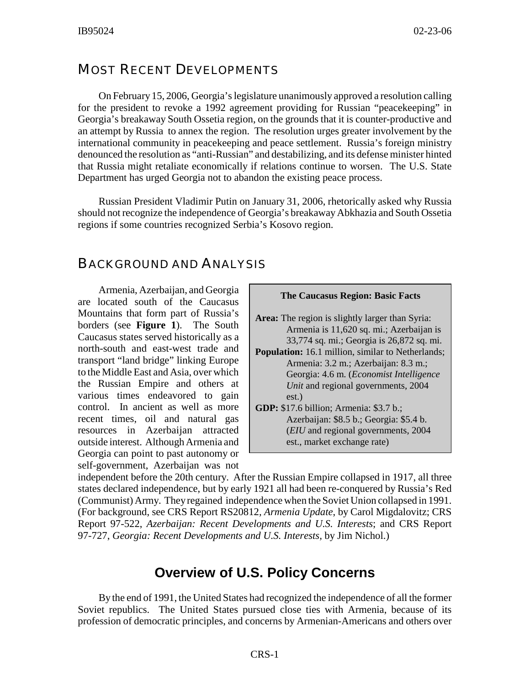## MOST RECENT DEVELOPMENTS

On February 15, 2006, Georgia's legislature unanimously approved a resolution calling for the president to revoke a 1992 agreement providing for Russian "peacekeeping" in Georgia's breakaway South Ossetia region, on the grounds that it is counter-productive and an attempt by Russia to annex the region. The resolution urges greater involvement by the international community in peacekeeping and peace settlement. Russia's foreign ministry denounced the resolution as "anti-Russian" and destabilizing, and its defense minister hinted that Russia might retaliate economically if relations continue to worsen. The U.S. State Department has urged Georgia not to abandon the existing peace process.

Russian President Vladimir Putin on January 31, 2006, rhetorically asked why Russia should not recognize the independence of Georgia's breakaway Abkhazia and South Ossetia regions if some countries recognized Serbia's Kosovo region.

### BACKGROUND AND ANALYSIS

Armenia, Azerbaijan, and Georgia are located south of the Caucasus Mountains that form part of Russia's borders (see **Figure 1**). The South Caucasus states served historically as a north-south and east-west trade and transport "land bridge" linking Europe to the Middle East and Asia, over which the Russian Empire and others at various times endeavored to gain control. In ancient as well as more recent times, oil and natural gas resources in Azerbaijan attracted outside interest. Although Armenia and Georgia can point to past autonomy or self-government, Azerbaijan was not

| <b>The Caucasus Region: Basic Facts</b>                                                                                                                                                                                                                             |  |  |  |  |  |  |
|---------------------------------------------------------------------------------------------------------------------------------------------------------------------------------------------------------------------------------------------------------------------|--|--|--|--|--|--|
| <b>Area:</b> The region is slightly larger than Syria:<br>Armenia is 11,620 sq. mi.; Azerbaijan is<br>33,774 sq. mi.; Georgia is 26,872 sq. mi.                                                                                                                     |  |  |  |  |  |  |
| <b>Population:</b> 16.1 million, similar to Netherlands;<br>Armenia: 3.2 m.; Azerbaijan: 8.3 m.;                                                                                                                                                                    |  |  |  |  |  |  |
| Georgia: 4.6 m. ( <i>Economist Intelligence</i><br>Unit and regional governments, 2004<br>est.)<br><b>GDP:</b> \$17.6 billion; Armenia: \$3.7 b.;<br>Azerbaijan: \$8.5 b.; Georgia: \$5.4 b.<br>(EIU and regional governments, 2004)<br>est., market exchange rate) |  |  |  |  |  |  |

independent before the 20th century. After the Russian Empire collapsed in 1917, all three states declared independence, but by early 1921 all had been re-conquered by Russia's Red (Communist) Army. They regained independence when the Soviet Union collapsed in 1991. (For background, see CRS Report RS20812*, Armenia Update*, by Carol Migdalovitz; CRS Report 97-522, *Azerbaijan: Recent Developments and U.S. Interests*; and CRS Report 97-727, *Georgia: Recent Developments and U.S. Interests,* by Jim Nichol.)

## **Overview of U.S. Policy Concerns**

By the end of 1991, the United States had recognized the independence of all the former Soviet republics. The United States pursued close ties with Armenia, because of its profession of democratic principles, and concerns by Armenian-Americans and others over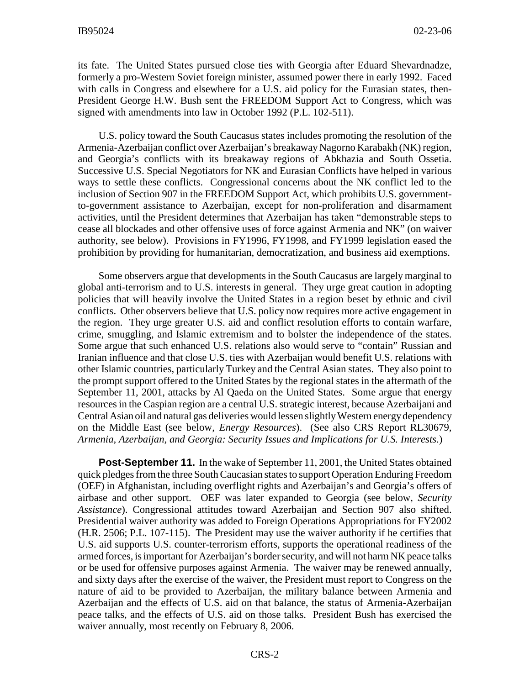its fate. The United States pursued close ties with Georgia after Eduard Shevardnadze, formerly a pro-Western Soviet foreign minister, assumed power there in early 1992. Faced with calls in Congress and elsewhere for a U.S. aid policy for the Eurasian states, then-President George H.W. Bush sent the FREEDOM Support Act to Congress, which was signed with amendments into law in October 1992 (P.L. 102-511).

U.S. policy toward the South Caucasus states includes promoting the resolution of the Armenia-Azerbaijan conflict over Azerbaijan's breakaway Nagorno Karabakh (NK) region, and Georgia's conflicts with its breakaway regions of Abkhazia and South Ossetia. Successive U.S. Special Negotiators for NK and Eurasian Conflicts have helped in various ways to settle these conflicts. Congressional concerns about the NK conflict led to the inclusion of Section 907 in the FREEDOM Support Act, which prohibits U.S. governmentto-government assistance to Azerbaijan, except for non-proliferation and disarmament activities, until the President determines that Azerbaijan has taken "demonstrable steps to cease all blockades and other offensive uses of force against Armenia and NK" (on waiver authority, see below). Provisions in FY1996, FY1998, and FY1999 legislation eased the prohibition by providing for humanitarian, democratization, and business aid exemptions.

Some observers argue that developments in the South Caucasus are largely marginal to global anti-terrorism and to U.S. interests in general. They urge great caution in adopting policies that will heavily involve the United States in a region beset by ethnic and civil conflicts. Other observers believe that U.S. policy now requires more active engagement in the region. They urge greater U.S. aid and conflict resolution efforts to contain warfare, crime, smuggling, and Islamic extremism and to bolster the independence of the states. Some argue that such enhanced U.S. relations also would serve to "contain" Russian and Iranian influence and that close U.S. ties with Azerbaijan would benefit U.S. relations with other Islamic countries, particularly Turkey and the Central Asian states. They also point to the prompt support offered to the United States by the regional states in the aftermath of the September 11, 2001, attacks by Al Qaeda on the United States. Some argue that energy resources in the Caspian region are a central U.S. strategic interest, because Azerbaijani and Central Asian oil and natural gas deliveries would lessen slightly Western energy dependency on the Middle East (see below, *Energy Resources*). (See also CRS Report RL30679, *Armenia, Azerbaijan, and Georgia: Security Issues and Implications for U.S. Interests*.)

**Post-September 11.** In the wake of September 11, 2001, the United States obtained quick pledges from the three South Caucasian states to support Operation Enduring Freedom (OEF) in Afghanistan, including overflight rights and Azerbaijan's and Georgia's offers of airbase and other support. OEF was later expanded to Georgia (see below, *Security Assistance*). Congressional attitudes toward Azerbaijan and Section 907 also shifted. Presidential waiver authority was added to Foreign Operations Appropriations for FY2002 (H.R. 2506; P.L. 107-115). The President may use the waiver authority if he certifies that U.S. aid supports U.S. counter-terrorism efforts, supports the operational readiness of the armed forces, is important for Azerbaijan's border security, and will not harm NK peace talks or be used for offensive purposes against Armenia. The waiver may be renewed annually, and sixty days after the exercise of the waiver, the President must report to Congress on the nature of aid to be provided to Azerbaijan, the military balance between Armenia and Azerbaijan and the effects of U.S. aid on that balance, the status of Armenia-Azerbaijan peace talks, and the effects of U.S. aid on those talks. President Bush has exercised the waiver annually, most recently on February 8, 2006.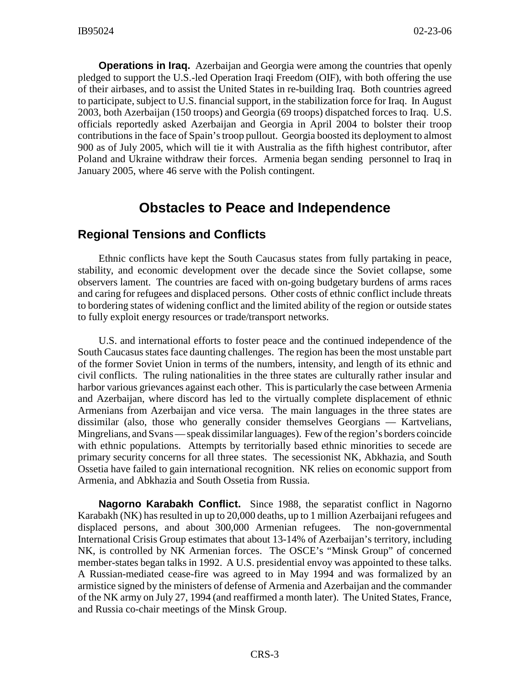**Operations in Iraq.** Azerbaijan and Georgia were among the countries that openly pledged to support the U.S.-led Operation Iraqi Freedom (OIF), with both offering the use of their airbases, and to assist the United States in re-building Iraq. Both countries agreed to participate, subject to U.S. financial support, in the stabilization force for Iraq. In August 2003, both Azerbaijan (150 troops) and Georgia (69 troops) dispatched forces to Iraq. U.S. officials reportedly asked Azerbaijan and Georgia in April 2004 to bolster their troop contributions in the face of Spain's troop pullout. Georgia boosted its deployment to almost 900 as of July 2005, which will tie it with Australia as the fifth highest contributor, after Poland and Ukraine withdraw their forces. Armenia began sending personnel to Iraq in January 2005, where 46 serve with the Polish contingent.

## **Obstacles to Peace and Independence**

## **Regional Tensions and Conflicts**

Ethnic conflicts have kept the South Caucasus states from fully partaking in peace, stability, and economic development over the decade since the Soviet collapse, some observers lament. The countries are faced with on-going budgetary burdens of arms races and caring for refugees and displaced persons. Other costs of ethnic conflict include threats to bordering states of widening conflict and the limited ability of the region or outside states to fully exploit energy resources or trade/transport networks.

U.S. and international efforts to foster peace and the continued independence of the South Caucasus states face daunting challenges. The region has been the most unstable part of the former Soviet Union in terms of the numbers, intensity, and length of its ethnic and civil conflicts. The ruling nationalities in the three states are culturally rather insular and harbor various grievances against each other. This is particularly the case between Armenia and Azerbaijan, where discord has led to the virtually complete displacement of ethnic Armenians from Azerbaijan and vice versa. The main languages in the three states are dissimilar (also, those who generally consider themselves Georgians — Kartvelians, Mingrelians, and Svans — speak dissimilar languages). Few of the region's borders coincide with ethnic populations. Attempts by territorially based ethnic minorities to secede are primary security concerns for all three states. The secessionist NK, Abkhazia, and South Ossetia have failed to gain international recognition. NK relies on economic support from Armenia, and Abkhazia and South Ossetia from Russia.

**Nagorno Karabakh Conflict.** Since 1988, the separatist conflict in Nagorno Karabakh (NK) has resulted in up to 20,000 deaths, up to 1 million Azerbaijani refugees and displaced persons, and about 300,000 Armenian refugees. The non-governmental International Crisis Group estimates that about 13-14% of Azerbaijan's territory, including NK, is controlled by NK Armenian forces. The OSCE's "Minsk Group" of concerned member-states began talks in 1992. A U.S. presidential envoy was appointed to these talks. A Russian-mediated cease-fire was agreed to in May 1994 and was formalized by an armistice signed by the ministers of defense of Armenia and Azerbaijan and the commander of the NK army on July 27, 1994 (and reaffirmed a month later). The United States, France, and Russia co-chair meetings of the Minsk Group.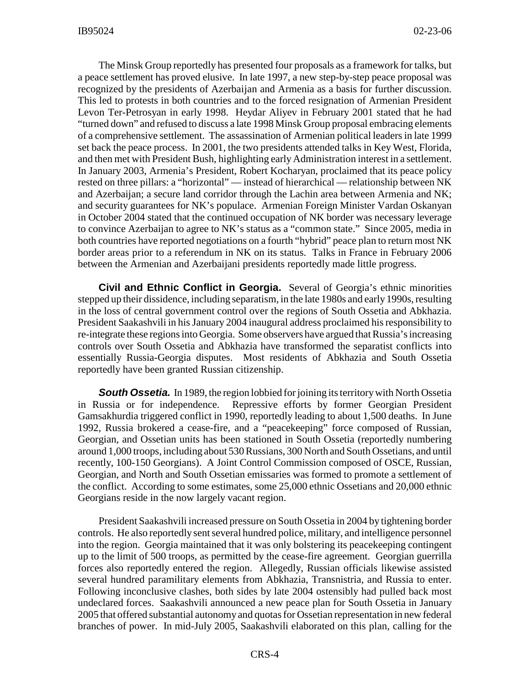The Minsk Group reportedly has presented four proposals as a framework for talks, but a peace settlement has proved elusive. In late 1997, a new step-by-step peace proposal was recognized by the presidents of Azerbaijan and Armenia as a basis for further discussion. This led to protests in both countries and to the forced resignation of Armenian President Levon Ter-Petrosyan in early 1998. Heydar Aliyev in February 2001 stated that he had "turned down" and refused to discuss a late 1998 Minsk Group proposal embracing elements of a comprehensive settlement. The assassination of Armenian political leaders in late 1999 set back the peace process. In 2001, the two presidents attended talks in Key West, Florida, and then met with President Bush, highlighting early Administration interest in a settlement. In January 2003, Armenia's President, Robert Kocharyan, proclaimed that its peace policy rested on three pillars: a "horizontal" — instead of hierarchical — relationship between NK and Azerbaijan; a secure land corridor through the Lachin area between Armenia and NK; and security guarantees for NK's populace. Armenian Foreign Minister Vardan Oskanyan in October 2004 stated that the continued occupation of NK border was necessary leverage to convince Azerbaijan to agree to NK's status as a "common state." Since 2005, media in both countries have reported negotiations on a fourth "hybrid" peace plan to return most NK border areas prior to a referendum in NK on its status. Talks in France in February 2006 between the Armenian and Azerbaijani presidents reportedly made little progress.

**Civil and Ethnic Conflict in Georgia.** Several of Georgia's ethnic minorities stepped up their dissidence, including separatism, in the late 1980s and early 1990s, resulting in the loss of central government control over the regions of South Ossetia and Abkhazia. President Saakashvili in his January 2004 inaugural address proclaimed his responsibility to re-integrate these regions into Georgia. Some observers have argued that Russia's increasing controls over South Ossetia and Abkhazia have transformed the separatist conflicts into essentially Russia-Georgia disputes. Most residents of Abkhazia and South Ossetia reportedly have been granted Russian citizenship.

**South Ossetia.** In 1989, the region lobbied for joining its territory with North Ossetia in Russia or for independence. Repressive efforts by former Georgian President Gamsakhurdia triggered conflict in 1990, reportedly leading to about 1,500 deaths. In June 1992, Russia brokered a cease-fire, and a "peacekeeping" force composed of Russian, Georgian, and Ossetian units has been stationed in South Ossetia (reportedly numbering around 1,000 troops, including about 530 Russians, 300 North and South Ossetians, and until recently, 100-150 Georgians). A Joint Control Commission composed of OSCE, Russian, Georgian, and North and South Ossetian emissaries was formed to promote a settlement of the conflict. According to some estimates, some 25,000 ethnic Ossetians and 20,000 ethnic Georgians reside in the now largely vacant region.

President Saakashvili increased pressure on South Ossetia in 2004 by tightening border controls. He also reportedly sent several hundred police, military, and intelligence personnel into the region. Georgia maintained that it was only bolstering its peacekeeping contingent up to the limit of 500 troops, as permitted by the cease-fire agreement. Georgian guerrilla forces also reportedly entered the region. Allegedly, Russian officials likewise assisted several hundred paramilitary elements from Abkhazia, Transnistria, and Russia to enter. Following inconclusive clashes, both sides by late 2004 ostensibly had pulled back most undeclared forces. Saakashvili announced a new peace plan for South Ossetia in January 2005 that offered substantial autonomy and quotas for Ossetian representation in new federal branches of power. In mid-July 2005, Saakashvili elaborated on this plan, calling for the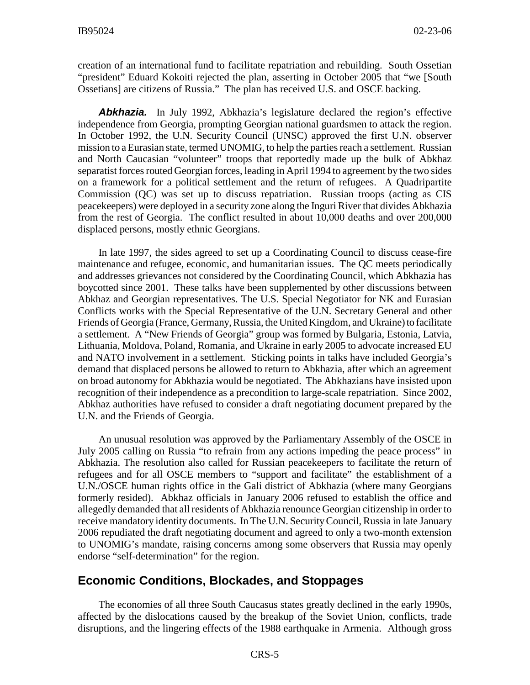creation of an international fund to facilitate repatriation and rebuilding. South Ossetian "president" Eduard Kokoiti rejected the plan, asserting in October 2005 that "we [South Ossetians] are citizens of Russia." The plan has received U.S. and OSCE backing.

**Abkhazia.** In July 1992, Abkhazia's legislature declared the region's effective independence from Georgia, prompting Georgian national guardsmen to attack the region. In October 1992, the U.N. Security Council (UNSC) approved the first U.N. observer mission to a Eurasian state, termed UNOMIG, to help the parties reach a settlement. Russian and North Caucasian "volunteer" troops that reportedly made up the bulk of Abkhaz separatist forces routed Georgian forces, leading in April 1994 to agreement by the two sides on a framework for a political settlement and the return of refugees. A Quadripartite Commission (QC) was set up to discuss repatriation. Russian troops (acting as CIS peacekeepers) were deployed in a security zone along the Inguri River that divides Abkhazia from the rest of Georgia. The conflict resulted in about 10,000 deaths and over 200,000 displaced persons, mostly ethnic Georgians.

In late 1997, the sides agreed to set up a Coordinating Council to discuss cease-fire maintenance and refugee, economic, and humanitarian issues. The QC meets periodically and addresses grievances not considered by the Coordinating Council, which Abkhazia has boycotted since 2001. These talks have been supplemented by other discussions between Abkhaz and Georgian representatives. The U.S. Special Negotiator for NK and Eurasian Conflicts works with the Special Representative of the U.N. Secretary General and other Friends of Georgia (France, Germany, Russia, the United Kingdom, and Ukraine) to facilitate a settlement. A "New Friends of Georgia" group was formed by Bulgaria, Estonia, Latvia, Lithuania, Moldova, Poland, Romania, and Ukraine in early 2005 to advocate increased EU and NATO involvement in a settlement. Sticking points in talks have included Georgia's demand that displaced persons be allowed to return to Abkhazia, after which an agreement on broad autonomy for Abkhazia would be negotiated. The Abkhazians have insisted upon recognition of their independence as a precondition to large-scale repatriation. Since 2002, Abkhaz authorities have refused to consider a draft negotiating document prepared by the U.N. and the Friends of Georgia.

An unusual resolution was approved by the Parliamentary Assembly of the OSCE in July 2005 calling on Russia "to refrain from any actions impeding the peace process" in Abkhazia. The resolution also called for Russian peacekeepers to facilitate the return of refugees and for all OSCE members to "support and facilitate" the establishment of a U.N./OSCE human rights office in the Gali district of Abkhazia (where many Georgians formerly resided). Abkhaz officials in January 2006 refused to establish the office and allegedly demanded that all residents of Abkhazia renounce Georgian citizenship in order to receive mandatory identity documents. In The U.N. Security Council, Russia in late January 2006 repudiated the draft negotiating document and agreed to only a two-month extension to UNOMIG's mandate, raising concerns among some observers that Russia may openly endorse "self-determination" for the region.

#### **Economic Conditions, Blockades, and Stoppages**

The economies of all three South Caucasus states greatly declined in the early 1990s, affected by the dislocations caused by the breakup of the Soviet Union, conflicts, trade disruptions, and the lingering effects of the 1988 earthquake in Armenia. Although gross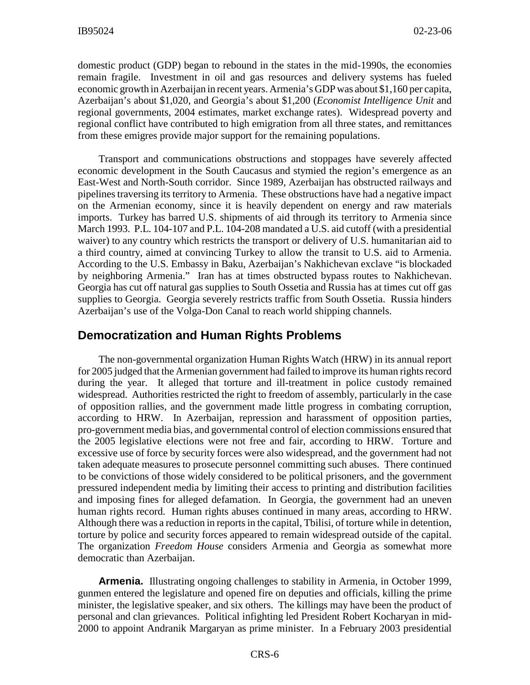domestic product (GDP) began to rebound in the states in the mid-1990s, the economies remain fragile. Investment in oil and gas resources and delivery systems has fueled economic growth in Azerbaijan in recent years. Armenia's GDP was about \$1,160 per capita, Azerbaijan's about \$1,020, and Georgia's about \$1,200 (*Economist Intelligence Unit* and regional governments, 2004 estimates, market exchange rates). Widespread poverty and regional conflict have contributed to high emigration from all three states, and remittances from these emigres provide major support for the remaining populations.

Transport and communications obstructions and stoppages have severely affected economic development in the South Caucasus and stymied the region's emergence as an East-West and North-South corridor. Since 1989, Azerbaijan has obstructed railways and pipelines traversing its territory to Armenia. These obstructions have had a negative impact on the Armenian economy, since it is heavily dependent on energy and raw materials imports. Turkey has barred U.S. shipments of aid through its territory to Armenia since March 1993. P.L. 104-107 and P.L. 104-208 mandated a U.S. aid cutoff (with a presidential waiver) to any country which restricts the transport or delivery of U.S. humanitarian aid to a third country, aimed at convincing Turkey to allow the transit to U.S. aid to Armenia. According to the U.S. Embassy in Baku, Azerbaijan's Nakhichevan exclave "is blockaded by neighboring Armenia." Iran has at times obstructed bypass routes to Nakhichevan. Georgia has cut off natural gas supplies to South Ossetia and Russia has at times cut off gas supplies to Georgia. Georgia severely restricts traffic from South Ossetia. Russia hinders Azerbaijan's use of the Volga-Don Canal to reach world shipping channels.

## **Democratization and Human Rights Problems**

The non-governmental organization Human Rights Watch (HRW) in its annual report for 2005 judged that the Armenian government had failed to improve its human rights record during the year. It alleged that torture and ill-treatment in police custody remained widespread. Authorities restricted the right to freedom of assembly, particularly in the case of opposition rallies, and the government made little progress in combating corruption, according to HRW. In Azerbaijan, repression and harassment of opposition parties, pro-government media bias, and governmental control of election commissions ensured that the 2005 legislative elections were not free and fair, according to HRW. Torture and excessive use of force by security forces were also widespread, and the government had not taken adequate measures to prosecute personnel committing such abuses. There continued to be convictions of those widely considered to be political prisoners, and the government pressured independent media by limiting their access to printing and distribution facilities and imposing fines for alleged defamation. In Georgia, the government had an uneven human rights record. Human rights abuses continued in many areas, according to HRW. Although there was a reduction in reports in the capital, Tbilisi, of torture while in detention, torture by police and security forces appeared to remain widespread outside of the capital. The organization *Freedom House* considers Armenia and Georgia as somewhat more democratic than Azerbaijan.

**Armenia.** Illustrating ongoing challenges to stability in Armenia, in October 1999, gunmen entered the legislature and opened fire on deputies and officials, killing the prime minister, the legislative speaker, and six others. The killings may have been the product of personal and clan grievances. Political infighting led President Robert Kocharyan in mid-2000 to appoint Andranik Margaryan as prime minister. In a February 2003 presidential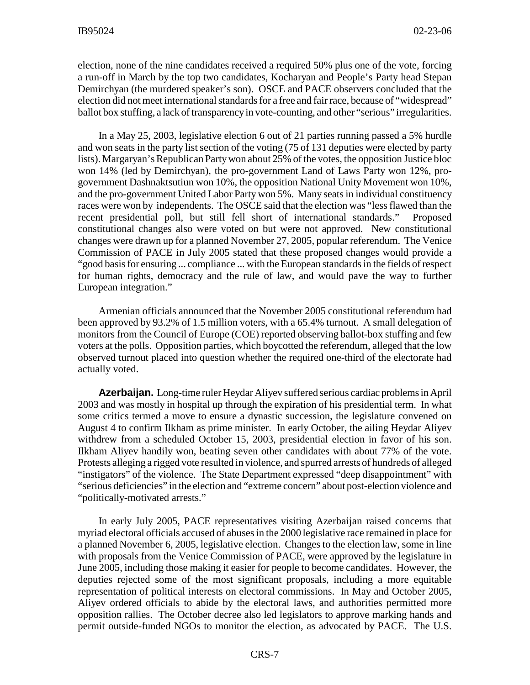election, none of the nine candidates received a required 50% plus one of the vote, forcing a run-off in March by the top two candidates, Kocharyan and People's Party head Stepan Demirchyan (the murdered speaker's son). OSCE and PACE observers concluded that the election did not meet international standards for a free and fair race, because of "widespread" ballot box stuffing, a lack of transparency in vote-counting, and other "serious" irregularities.

In a May 25, 2003, legislative election 6 out of 21 parties running passed a 5% hurdle and won seats in the party list section of the voting (75 of 131 deputies were elected by party lists). Margaryan's Republican Party won about 25% of the votes, the opposition Justice bloc won 14% (led by Demirchyan), the pro-government Land of Laws Party won 12%, progovernment Dashnaktsutiun won 10%, the opposition National Unity Movement won 10%, and the pro-government United Labor Party won 5%. Many seats in individual constituency races were won by independents. The OSCE said that the election was "less flawed than the recent presidential poll, but still fell short of international standards." Proposed constitutional changes also were voted on but were not approved. New constitutional changes were drawn up for a planned November 27, 2005, popular referendum. The Venice Commission of PACE in July 2005 stated that these proposed changes would provide a "good basis for ensuring ... compliance ... with the European standards in the fields of respect for human rights, democracy and the rule of law, and would pave the way to further European integration."

Armenian officials announced that the November 2005 constitutional referendum had been approved by 93.2% of 1.5 million voters, with a 65.4% turnout. A small delegation of monitors from the Council of Europe (COE) reported observing ballot-box stuffing and few voters at the polls. Opposition parties, which boycotted the referendum, alleged that the low observed turnout placed into question whether the required one-third of the electorate had actually voted.

**Azerbaijan.** Long-time ruler Heydar Aliyev suffered serious cardiac problems in April 2003 and was mostly in hospital up through the expiration of his presidential term. In what some critics termed a move to ensure a dynastic succession, the legislature convened on August 4 to confirm Ilkham as prime minister. In early October, the ailing Heydar Aliyev withdrew from a scheduled October 15, 2003, presidential election in favor of his son. Ilkham Aliyev handily won, beating seven other candidates with about 77% of the vote. Protests alleging a rigged vote resulted in violence, and spurred arrests of hundreds of alleged "instigators" of the violence. The State Department expressed "deep disappointment" with "serious deficiencies" in the election and "extreme concern" about post-election violence and "politically-motivated arrests."

In early July 2005, PACE representatives visiting Azerbaijan raised concerns that myriad electoral officials accused of abuses in the 2000 legislative race remained in place for a planned November 6, 2005, legislative election. Changes to the election law, some in line with proposals from the Venice Commission of PACE, were approved by the legislature in June 2005, including those making it easier for people to become candidates. However, the deputies rejected some of the most significant proposals, including a more equitable representation of political interests on electoral commissions. In May and October 2005, Aliyev ordered officials to abide by the electoral laws, and authorities permitted more opposition rallies. The October decree also led legislators to approve marking hands and permit outside-funded NGOs to monitor the election, as advocated by PACE. The U.S.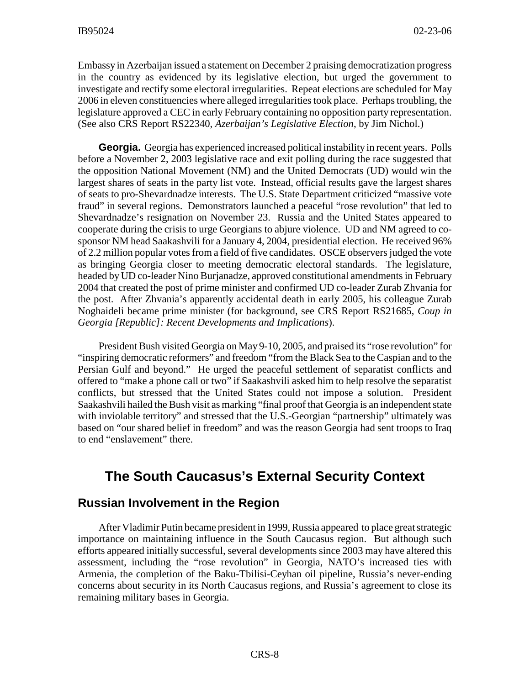Embassy in Azerbaijan issued a statement on December 2 praising democratization progress in the country as evidenced by its legislative election, but urged the government to investigate and rectify some electoral irregularities. Repeat elections are scheduled for May 2006 in eleven constituencies where alleged irregularities took place. Perhaps troubling, the legislature approved a CEC in early February containing no opposition party representation. (See also CRS Report RS22340, *Azerbaijan's Legislative Election*, by Jim Nichol.)

**Georgia.** Georgia has experienced increased political instability in recent years. Polls before a November 2, 2003 legislative race and exit polling during the race suggested that the opposition National Movement (NM) and the United Democrats (UD) would win the largest shares of seats in the party list vote. Instead, official results gave the largest shares of seats to pro-Shevardnadze interests. The U.S. State Department criticized "massive vote fraud" in several regions. Demonstrators launched a peaceful "rose revolution" that led to Shevardnadze's resignation on November 23. Russia and the United States appeared to cooperate during the crisis to urge Georgians to abjure violence. UD and NM agreed to cosponsor NM head Saakashvili for a January 4, 2004, presidential election. He received 96% of 2.2 million popular votes from a field of five candidates. OSCE observers judged the vote as bringing Georgia closer to meeting democratic electoral standards. The legislature, headed by UD co-leader Nino Burjanadze, approved constitutional amendments in February 2004 that created the post of prime minister and confirmed UD co-leader Zurab Zhvania for the post. After Zhvania's apparently accidental death in early 2005, his colleague Zurab Noghaideli became prime minister (for background, see CRS Report RS21685, *Coup in Georgia [Republic]: Recent Developments and Implications*).

President Bush visited Georgia on May 9-10, 2005, and praised its "rose revolution" for "inspiring democratic reformers" and freedom "from the Black Sea to the Caspian and to the Persian Gulf and beyond." He urged the peaceful settlement of separatist conflicts and offered to "make a phone call or two" if Saakashvili asked him to help resolve the separatist conflicts, but stressed that the United States could not impose a solution. President Saakashvili hailed the Bush visit as marking "final proof that Georgia is an independent state with inviolable territory" and stressed that the U.S.-Georgian "partnership" ultimately was based on "our shared belief in freedom" and was the reason Georgia had sent troops to Iraq to end "enslavement" there.

## **The South Caucasus's External Security Context**

#### **Russian Involvement in the Region**

After Vladimir Putin became president in 1999, Russia appeared to place great strategic importance on maintaining influence in the South Caucasus region. But although such efforts appeared initially successful, several developments since 2003 may have altered this assessment, including the "rose revolution" in Georgia, NATO's increased ties with Armenia, the completion of the Baku-Tbilisi-Ceyhan oil pipeline, Russia's never-ending concerns about security in its North Caucasus regions, and Russia's agreement to close its remaining military bases in Georgia.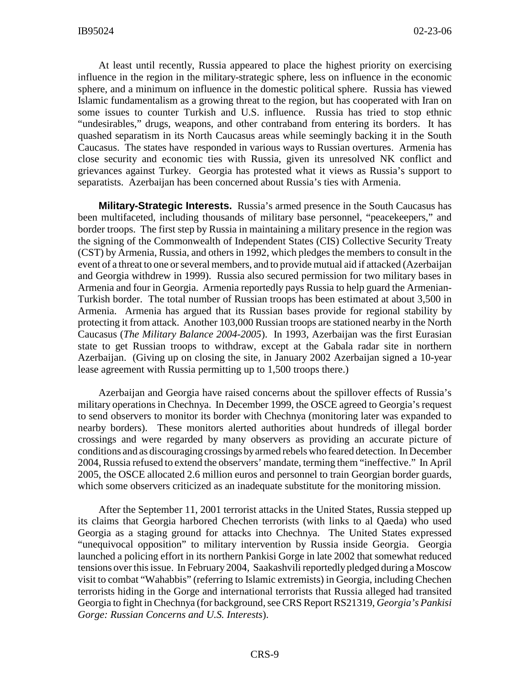At least until recently, Russia appeared to place the highest priority on exercising influence in the region in the military-strategic sphere, less on influence in the economic sphere, and a minimum on influence in the domestic political sphere. Russia has viewed Islamic fundamentalism as a growing threat to the region, but has cooperated with Iran on some issues to counter Turkish and U.S. influence. Russia has tried to stop ethnic "undesirables," drugs, weapons, and other contraband from entering its borders. It has quashed separatism in its North Caucasus areas while seemingly backing it in the South Caucasus. The states have responded in various ways to Russian overtures. Armenia has close security and economic ties with Russia, given its unresolved NK conflict and grievances against Turkey. Georgia has protested what it views as Russia's support to separatists. Azerbaijan has been concerned about Russia's ties with Armenia.

**Military-Strategic Interests.** Russia's armed presence in the South Caucasus has been multifaceted, including thousands of military base personnel, "peacekeepers," and border troops. The first step by Russia in maintaining a military presence in the region was the signing of the Commonwealth of Independent States (CIS) Collective Security Treaty (CST) by Armenia, Russia, and others in 1992, which pledges the members to consult in the event of a threat to one or several members, and to provide mutual aid if attacked (Azerbaijan and Georgia withdrew in 1999). Russia also secured permission for two military bases in Armenia and four in Georgia. Armenia reportedly pays Russia to help guard the Armenian-Turkish border. The total number of Russian troops has been estimated at about 3,500 in Armenia. Armenia has argued that its Russian bases provide for regional stability by protecting it from attack. Another 103,000 Russian troops are stationed nearby in the North Caucasus (*The Military Balance 2004-2005*). In 1993, Azerbaijan was the first Eurasian state to get Russian troops to withdraw, except at the Gabala radar site in northern Azerbaijan. (Giving up on closing the site, in January 2002 Azerbaijan signed a 10-year lease agreement with Russia permitting up to 1,500 troops there.)

Azerbaijan and Georgia have raised concerns about the spillover effects of Russia's military operations in Chechnya. In December 1999, the OSCE agreed to Georgia's request to send observers to monitor its border with Chechnya (monitoring later was expanded to nearby borders). These monitors alerted authorities about hundreds of illegal border crossings and were regarded by many observers as providing an accurate picture of conditions and as discouraging crossings by armed rebels who feared detection. In December 2004, Russia refused to extend the observers' mandate, terming them "ineffective." In April 2005, the OSCE allocated 2.6 million euros and personnel to train Georgian border guards, which some observers criticized as an inadequate substitute for the monitoring mission.

After the September 11, 2001 terrorist attacks in the United States, Russia stepped up its claims that Georgia harbored Chechen terrorists (with links to al Qaeda) who used Georgia as a staging ground for attacks into Chechnya. The United States expressed "unequivocal opposition" to military intervention by Russia inside Georgia. Georgia launched a policing effort in its northern Pankisi Gorge in late 2002 that somewhat reduced tensions over this issue. In February 2004, Saakashvili reportedly pledged during a Moscow visit to combat "Wahabbis" (referring to Islamic extremists) in Georgia, including Chechen terrorists hiding in the Gorge and international terrorists that Russia alleged had transited Georgia to fight in Chechnya (for background, see CRS Report RS21319, *Georgia's Pankisi Gorge: Russian Concerns and U.S. Interests*).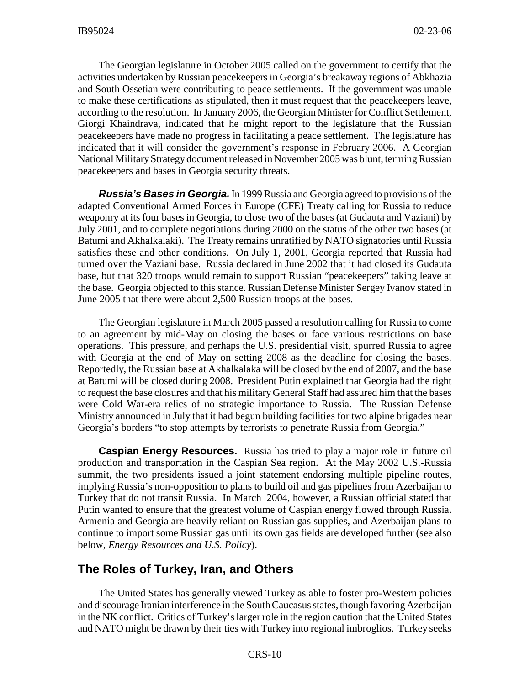The Georgian legislature in October 2005 called on the government to certify that the activities undertaken by Russian peacekeepers in Georgia's breakaway regions of Abkhazia and South Ossetian were contributing to peace settlements. If the government was unable to make these certifications as stipulated, then it must request that the peacekeepers leave, according to the resolution. In January 2006, the Georgian Minister for Conflict Settlement, Giorgi Khaindrava, indicated that he might report to the legislature that the Russian peacekeepers have made no progress in facilitating a peace settlement. The legislature has indicated that it will consider the government's response in February 2006. A Georgian National Military Strategy document released in November 2005 was blunt, terming Russian peacekeepers and bases in Georgia security threats.

*Russia's Bases in Georgia.* In 1999 Russia and Georgia agreed to provisions of the adapted Conventional Armed Forces in Europe (CFE) Treaty calling for Russia to reduce weaponry at its four bases in Georgia, to close two of the bases (at Gudauta and Vaziani) by July 2001, and to complete negotiations during 2000 on the status of the other two bases (at Batumi and Akhalkalaki). The Treaty remains unratified by NATO signatories until Russia satisfies these and other conditions. On July 1, 2001, Georgia reported that Russia had turned over the Vaziani base. Russia declared in June 2002 that it had closed its Gudauta base, but that 320 troops would remain to support Russian "peacekeepers" taking leave at the base. Georgia objected to this stance. Russian Defense Minister Sergey Ivanov stated in June 2005 that there were about 2,500 Russian troops at the bases.

The Georgian legislature in March 2005 passed a resolution calling for Russia to come to an agreement by mid-May on closing the bases or face various restrictions on base operations. This pressure, and perhaps the U.S. presidential visit, spurred Russia to agree with Georgia at the end of May on setting 2008 as the deadline for closing the bases. Reportedly, the Russian base at Akhalkalaka will be closed by the end of 2007, and the base at Batumi will be closed during 2008. President Putin explained that Georgia had the right to request the base closures and that his military General Staff had assured him that the bases were Cold War-era relics of no strategic importance to Russia. The Russian Defense Ministry announced in July that it had begun building facilities for two alpine brigades near Georgia's borders "to stop attempts by terrorists to penetrate Russia from Georgia."

**Caspian Energy Resources.** Russia has tried to play a major role in future oil production and transportation in the Caspian Sea region. At the May 2002 U.S.-Russia summit, the two presidents issued a joint statement endorsing multiple pipeline routes, implying Russia's non-opposition to plans to build oil and gas pipelines from Azerbaijan to Turkey that do not transit Russia. In March 2004, however, a Russian official stated that Putin wanted to ensure that the greatest volume of Caspian energy flowed through Russia. Armenia and Georgia are heavily reliant on Russian gas supplies, and Azerbaijan plans to continue to import some Russian gas until its own gas fields are developed further (see also below, *Energy Resources and U.S. Policy*).

#### **The Roles of Turkey, Iran, and Others**

The United States has generally viewed Turkey as able to foster pro-Western policies and discourage Iranian interference in the South Caucasus states, though favoring Azerbaijan in the NK conflict. Critics of Turkey's larger role in the region caution that the United States and NATO might be drawn by their ties with Turkey into regional imbroglios. Turkey seeks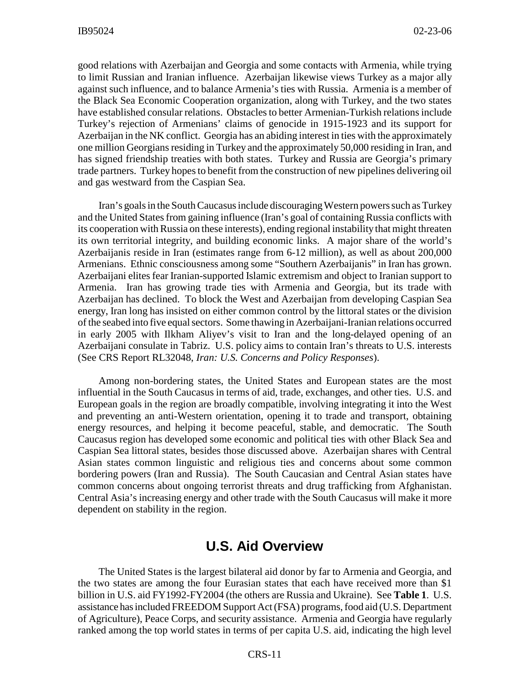good relations with Azerbaijan and Georgia and some contacts with Armenia, while trying to limit Russian and Iranian influence. Azerbaijan likewise views Turkey as a major ally against such influence, and to balance Armenia's ties with Russia. Armenia is a member of the Black Sea Economic Cooperation organization, along with Turkey, and the two states have established consular relations. Obstacles to better Armenian-Turkish relations include Turkey's rejection of Armenians' claims of genocide in 1915-1923 and its support for Azerbaijan in the NK conflict. Georgia has an abiding interest in ties with the approximately one million Georgians residing in Turkey and the approximately 50,000 residing in Iran, and has signed friendship treaties with both states. Turkey and Russia are Georgia's primary trade partners. Turkey hopes to benefit from the construction of new pipelines delivering oil and gas westward from the Caspian Sea.

Iran's goals in the South Caucasus include discouraging Western powers such as Turkey and the United States from gaining influence (Iran's goal of containing Russia conflicts with its cooperation with Russia on these interests), ending regional instability that might threaten its own territorial integrity, and building economic links. A major share of the world's Azerbaijanis reside in Iran (estimates range from 6-12 million), as well as about 200,000 Armenians. Ethnic consciousness among some "Southern Azerbaijanis" in Iran has grown. Azerbaijani elites fear Iranian-supported Islamic extremism and object to Iranian support to Armenia. Iran has growing trade ties with Armenia and Georgia, but its trade with Azerbaijan has declined. To block the West and Azerbaijan from developing Caspian Sea energy, Iran long has insisted on either common control by the littoral states or the division of the seabed into five equal sectors. Some thawing in Azerbaijani-Iranian relations occurred in early 2005 with Ilkham Aliyev's visit to Iran and the long-delayed opening of an Azerbaijani consulate in Tabriz. U.S. policy aims to contain Iran's threats to U.S. interests (See CRS Report RL32048, *Iran: U.S. Concerns and Policy Responses*).

Among non-bordering states, the United States and European states are the most influential in the South Caucasus in terms of aid, trade, exchanges, and other ties. U.S. and European goals in the region are broadly compatible, involving integrating it into the West and preventing an anti-Western orientation, opening it to trade and transport, obtaining energy resources, and helping it become peaceful, stable, and democratic. The South Caucasus region has developed some economic and political ties with other Black Sea and Caspian Sea littoral states, besides those discussed above. Azerbaijan shares with Central Asian states common linguistic and religious ties and concerns about some common bordering powers (Iran and Russia). The South Caucasian and Central Asian states have common concerns about ongoing terrorist threats and drug trafficking from Afghanistan. Central Asia's increasing energy and other trade with the South Caucasus will make it more dependent on stability in the region.

## **U.S. Aid Overview**

The United States is the largest bilateral aid donor by far to Armenia and Georgia, and the two states are among the four Eurasian states that each have received more than \$1 billion in U.S. aid FY1992-FY2004 (the others are Russia and Ukraine). See **Table 1**. U.S. assistance has included FREEDOM Support Act (FSA) programs, food aid (U.S. Department of Agriculture), Peace Corps, and security assistance. Armenia and Georgia have regularly ranked among the top world states in terms of per capita U.S. aid, indicating the high level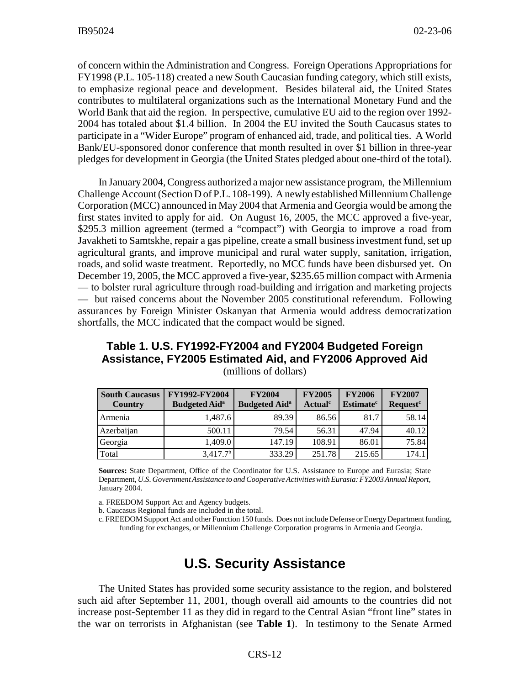of concern within the Administration and Congress. Foreign Operations Appropriations for FY1998 (P.L. 105-118) created a new South Caucasian funding category, which still exists, to emphasize regional peace and development. Besides bilateral aid, the United States contributes to multilateral organizations such as the International Monetary Fund and the World Bank that aid the region. In perspective, cumulative EU aid to the region over 1992- 2004 has totaled about \$1.4 billion. In 2004 the EU invited the South Caucasus states to participate in a "Wider Europe" program of enhanced aid, trade, and political ties. A World Bank/EU-sponsored donor conference that month resulted in over \$1 billion in three-year pledges for development in Georgia (the United States pledged about one-third of the total).

In January 2004, Congress authorized a major new assistance program, the Millennium Challenge Account (Section D of P.L. 108-199). A newly established Millennium Challenge Corporation (MCC) announced in May 2004 that Armenia and Georgia would be among the first states invited to apply for aid. On August 16, 2005, the MCC approved a five-year, \$295.3 million agreement (termed a "compact") with Georgia to improve a road from Javakheti to Samtskhe, repair a gas pipeline, create a small business investment fund, set up agricultural grants, and improve municipal and rural water supply, sanitation, irrigation, roads, and solid waste treatment. Reportedly, no MCC funds have been disbursed yet. On December 19, 2005, the MCC approved a five-year, \$235.65 million compact with Armenia — to bolster rural agriculture through road-building and irrigation and marketing projects — but raised concerns about the November 2005 constitutional referendum. Following assurances by Foreign Minister Oskanyan that Armenia would address democratization shortfalls, the MCC indicated that the compact would be signed.

#### **Table 1. U.S. FY1992-FY2004 and FY2004 Budgeted Foreign Assistance, FY2005 Estimated Aid, and FY2006 Approved Aid** (millions of dollars)

| <b>South Caucasus</b><br>Country | FY1992-FY2004<br><b>Budgeted Aid</b> <sup>a</sup> | <b>FY2004</b><br><b>Budgeted Aid</b> <sup>a</sup> | <b>FY2005</b><br><b>Actual</b> <sup>c</sup> | <b>FY2006</b><br><b>Estimate<sup>c</sup></b> | <b>FY2007</b><br><b>Request<sup>c</sup></b> |
|----------------------------------|---------------------------------------------------|---------------------------------------------------|---------------------------------------------|----------------------------------------------|---------------------------------------------|
| Armenia                          | 1.487.6                                           | 89.39                                             | 86.56                                       | 81.7                                         | 58.14                                       |
| Azerbaijan                       | 500.11                                            | 79.54                                             | 56.31                                       | 47.94                                        | 40.12                                       |
| Georgia                          | 1.409.0                                           | 147.19                                            | 108.91                                      | 86.01                                        | 75.84                                       |
| Total                            | $3,417.7^b$                                       | 333.29                                            | 251.78                                      | 215.65                                       | 174.1                                       |

**Sources:** State Department, Office of the Coordinator for U.S. Assistance to Europe and Eurasia; State Department, *U.S. Government Assistance to and Cooperative Activities with Eurasia: FY2003 Annual Report,* January 2004.

a. FREEDOM Support Act and Agency budgets.

b. Caucasus Regional funds are included in the total.

c. FREEDOM Support Act and other Function 150 funds. Does not include Defense or Energy Department funding, funding for exchanges, or Millennium Challenge Corporation programs in Armenia and Georgia.

## **U.S. Security Assistance**

The United States has provided some security assistance to the region, and bolstered such aid after September 11, 2001, though overall aid amounts to the countries did not increase post-September 11 as they did in regard to the Central Asian "front line" states in the war on terrorists in Afghanistan (see **Table 1**). In testimony to the Senate Armed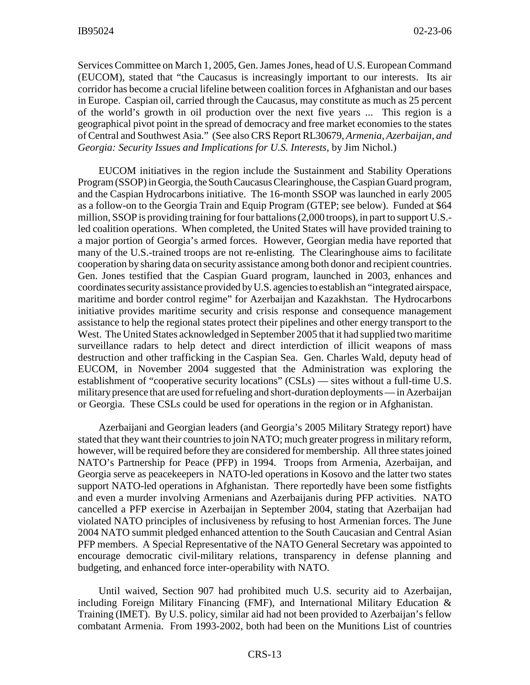Services Committee on March 1, 2005, Gen. James Jones, head of U.S. European Command (EUCOM), stated that "the Caucasus is increasingly important to our interests. Its air corridor has become a crucial lifeline between coalition forces in Afghanistan and our bases in Europe. Caspian oil, carried through the Caucasus, may constitute as much as 25 percent of the world's growth in oil production over the next five years ... This region is a geographical pivot point in the spread of democracy and free market economies to the states of Central and Southwest Asia." (See also CRS Report RL30679, *Armenia, Azerbaijan, and Georgia: Security Issues and Implications for U.S. Interests*, by Jim Nichol.)

EUCOM initiatives in the region include the Sustainment and Stability Operations Program (SSOP) in Georgia, the South Caucasus Clearinghouse, the Caspian Guard program, and the Caspian Hydrocarbons initiative. The 16-month SSOP was launched in early 2005 as a follow-on to the Georgia Train and Equip Program (GTEP; see below). Funded at \$64 million, SSOP is providing training for four battalions (2,000 troops), in part to support U.S. led coalition operations. When completed, the United States will have provided training to a major portion of Georgia's armed forces. However, Georgian media have reported that many of the U.S.-trained troops are not re-enlisting. The Clearinghouse aims to facilitate cooperation by sharing data on security assistance among both donor and recipient countries. Gen. Jones testified that the Caspian Guard program, launched in 2003, enhances and coordinates security assistance provided by U.S. agencies to establish an "integrated airspace, maritime and border control regime" for Azerbaijan and Kazakhstan. The Hydrocarbons initiative provides maritime security and crisis response and consequence management assistance to help the regional states protect their pipelines and other energy transport to the West. The United States acknowledged in September 2005 that it had supplied two maritime surveillance radars to help detect and direct interdiction of illicit weapons of mass destruction and other trafficking in the Caspian Sea. Gen. Charles Wald, deputy head of EUCOM, in November 2004 suggested that the Administration was exploring the establishment of "cooperative security locations" (CSLs) — sites without a full-time U.S. military presence that are used for refueling and short-duration deployments — in Azerbaijan or Georgia. These CSLs could be used for operations in the region or in Afghanistan.

Azerbaijani and Georgian leaders (and Georgia's 2005 Military Strategy report) have stated that they want their countries to join NATO; much greater progress in military reform, however, will be required before they are considered for membership. All three states joined NATO's Partnership for Peace (PFP) in 1994. Troops from Armenia, Azerbaijan, and Georgia serve as peacekeepers in NATO-led operations in Kosovo and the latter two states support NATO-led operations in Afghanistan. There reportedly have been some fistfights and even a murder involving Armenians and Azerbaijanis during PFP activities. NATO cancelled a PFP exercise in Azerbaijan in September 2004, stating that Azerbaijan had violated NATO principles of inclusiveness by refusing to host Armenian forces. The June 2004 NATO summit pledged enhanced attention to the South Caucasian and Central Asian PFP members. A Special Representative of the NATO General Secretary was appointed to encourage democratic civil-military relations, transparency in defense planning and budgeting, and enhanced force inter-operability with NATO.

Until waived, Section 907 had prohibited much U.S. security aid to Azerbaijan, including Foreign Military Financing (FMF), and International Military Education & Training (IMET). By U.S. policy, similar aid had not been provided to Azerbaijan's fellow combatant Armenia. From 1993-2002, both had been on the Munitions List of countries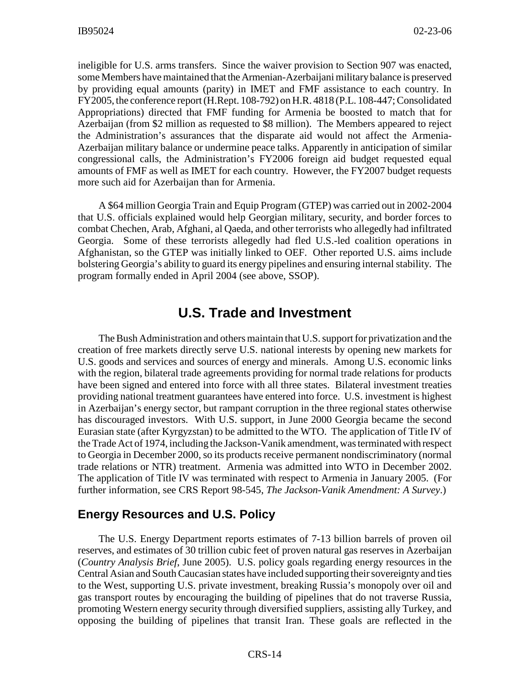ineligible for U.S. arms transfers. Since the waiver provision to Section 907 was enacted, some Members have maintained that the Armenian-Azerbaijani military balance is preserved by providing equal amounts (parity) in IMET and FMF assistance to each country. In FY2005, the conference report (H.Rept. 108-792) on H.R. 4818 (P.L. 108-447; Consolidated Appropriations) directed that FMF funding for Armenia be boosted to match that for Azerbaijan (from \$2 million as requested to \$8 million). The Members appeared to reject the Administration's assurances that the disparate aid would not affect the Armenia-Azerbaijan military balance or undermine peace talks. Apparently in anticipation of similar congressional calls, the Administration's FY2006 foreign aid budget requested equal amounts of FMF as well as IMET for each country. However, the FY2007 budget requests more such aid for Azerbaijan than for Armenia.

A \$64 million Georgia Train and Equip Program (GTEP) was carried out in 2002-2004 that U.S. officials explained would help Georgian military, security, and border forces to combat Chechen, Arab, Afghani, al Qaeda, and other terrorists who allegedly had infiltrated Georgia. Some of these terrorists allegedly had fled U.S.-led coalition operations in Afghanistan, so the GTEP was initially linked to OEF. Other reported U.S. aims include bolstering Georgia's ability to guard its energy pipelines and ensuring internal stability. The program formally ended in April 2004 (see above, SSOP).

## **U.S. Trade and Investment**

The Bush Administration and others maintain that U.S. support for privatization and the creation of free markets directly serve U.S. national interests by opening new markets for U.S. goods and services and sources of energy and minerals. Among U.S. economic links with the region, bilateral trade agreements providing for normal trade relations for products have been signed and entered into force with all three states. Bilateral investment treaties providing national treatment guarantees have entered into force. U.S. investment is highest in Azerbaijan's energy sector, but rampant corruption in the three regional states otherwise has discouraged investors. With U.S. support, in June 2000 Georgia became the second Eurasian state (after Kyrgyzstan) to be admitted to the WTO. The application of Title IV of the Trade Act of 1974, including the Jackson-Vanik amendment, was terminated with respect to Georgia in December 2000, so its products receive permanent nondiscriminatory (normal trade relations or NTR) treatment. Armenia was admitted into WTO in December 2002. The application of Title IV was terminated with respect to Armenia in January 2005. (For further information, see CRS Report 98-545, *The Jackson-Vanik Amendment: A Survey*.)

#### **Energy Resources and U.S. Policy**

The U.S. Energy Department reports estimates of 7-13 billion barrels of proven oil reserves, and estimates of 30 trillion cubic feet of proven natural gas reserves in Azerbaijan (*Country Analysis Brief*, June 2005). U.S. policy goals regarding energy resources in the Central Asian and South Caucasian states have included supporting their sovereignty and ties to the West, supporting U.S. private investment, breaking Russia's monopoly over oil and gas transport routes by encouraging the building of pipelines that do not traverse Russia, promoting Western energy security through diversified suppliers, assisting ally Turkey, and opposing the building of pipelines that transit Iran. These goals are reflected in the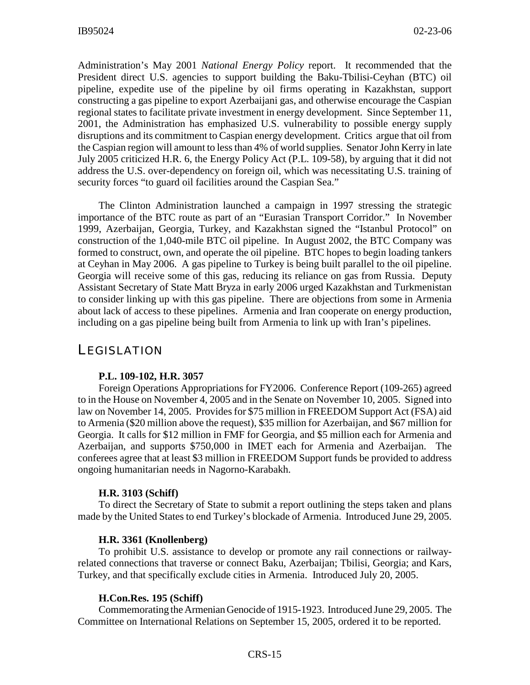Administration's May 2001 *National Energy Policy* report. It recommended that the President direct U.S. agencies to support building the Baku-Tbilisi-Ceyhan (BTC) oil pipeline, expedite use of the pipeline by oil firms operating in Kazakhstan, support constructing a gas pipeline to export Azerbaijani gas, and otherwise encourage the Caspian regional states to facilitate private investment in energy development. Since September 11, 2001, the Administration has emphasized U.S. vulnerability to possible energy supply disruptions and its commitment to Caspian energy development. Critics argue that oil from the Caspian region will amount to less than 4% of world supplies. Senator John Kerry in late July 2005 criticized H.R. 6, the Energy Policy Act (P.L. 109-58), by arguing that it did not address the U.S. over-dependency on foreign oil, which was necessitating U.S. training of security forces "to guard oil facilities around the Caspian Sea."

The Clinton Administration launched a campaign in 1997 stressing the strategic importance of the BTC route as part of an "Eurasian Transport Corridor." In November 1999, Azerbaijan, Georgia, Turkey, and Kazakhstan signed the "Istanbul Protocol" on construction of the 1,040-mile BTC oil pipeline. In August 2002, the BTC Company was formed to construct, own, and operate the oil pipeline. BTC hopes to begin loading tankers at Ceyhan in May 2006. A gas pipeline to Turkey is being built parallel to the oil pipeline. Georgia will receive some of this gas, reducing its reliance on gas from Russia. Deputy Assistant Secretary of State Matt Bryza in early 2006 urged Kazakhstan and Turkmenistan to consider linking up with this gas pipeline. There are objections from some in Armenia about lack of access to these pipelines. Armenia and Iran cooperate on energy production, including on a gas pipeline being built from Armenia to link up with Iran's pipelines.

## LEGISLATION

#### **P.L. 109-102, H.R. 3057**

Foreign Operations Appropriations for FY2006. Conference Report (109-265) agreed to in the House on November 4, 2005 and in the Senate on November 10, 2005. Signed into law on November 14, 2005. Provides for \$75 million in FREEDOM Support Act (FSA) aid to Armenia (\$20 million above the request), \$35 million for Azerbaijan, and \$67 million for Georgia. It calls for \$12 million in FMF for Georgia, and \$5 million each for Armenia and Azerbaijan, and supports \$750,000 in IMET each for Armenia and Azerbaijan. The conferees agree that at least \$3 million in FREEDOM Support funds be provided to address ongoing humanitarian needs in Nagorno-Karabakh.

#### **H.R. 3103 (Schiff)**

To direct the Secretary of State to submit a report outlining the steps taken and plans made by the United States to end Turkey's blockade of Armenia. Introduced June 29, 2005.

#### **H.R. 3361 (Knollenberg)**

To prohibit U.S. assistance to develop or promote any rail connections or railwayrelated connections that traverse or connect Baku, Azerbaijan; Tbilisi, Georgia; and Kars, Turkey, and that specifically exclude cities in Armenia. Introduced July 20, 2005.

#### **H.Con.Res. 195 (Schiff)**

Commemorating the Armenian Genocide of 1915-1923. Introduced June 29, 2005. The Committee on International Relations on September 15, 2005, ordered it to be reported.